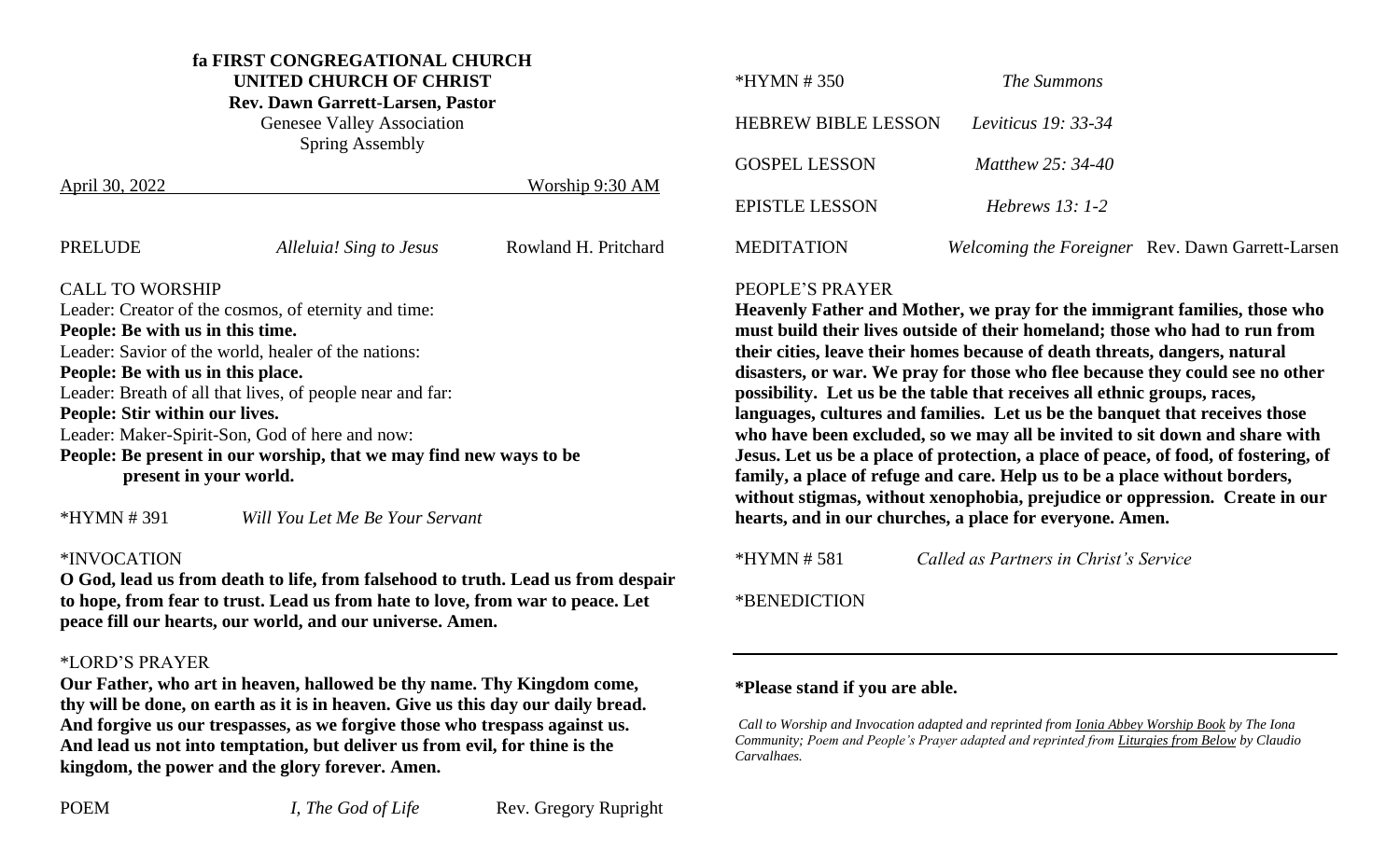### **fa FIRST CONGREGATIONAL CHURCH**

**UNITED CHURCH OF CHRIST**

**Rev. Dawn Garrett-Larsen, Pastor**

Genesee Valley Association Spring Assembly

| April 30, 2022                                                     |                         | Worship 9:30 AM      |  |  |
|--------------------------------------------------------------------|-------------------------|----------------------|--|--|
| PRELUDE                                                            | Alleluia! Sing to Jesus | Rowland H. Pritchard |  |  |
| <b>CALL TO WORSHIP</b>                                             |                         |                      |  |  |
| Leader: Creator of the cosmos, of eternity and time:               |                         |                      |  |  |
| People: Be with us in this time.                                   |                         |                      |  |  |
| Leader: Savior of the world, healer of the nations:                |                         |                      |  |  |
| People: Be with us in this place.                                  |                         |                      |  |  |
| Leader: Breath of all that lives, of people near and far:          |                         |                      |  |  |
| People: Stir within our lives.                                     |                         |                      |  |  |
| Leader: Maker-Spirit-Son, God of here and now:                     |                         |                      |  |  |
| People: Be present in our worship, that we may find new ways to be |                         |                      |  |  |
| present in your world.                                             |                         |                      |  |  |
|                                                                    |                         |                      |  |  |

\*HYMN # 391 *Will You Let Me Be Your Servant*

#### \*INVOCATION

**O God, lead us from death to life, from falsehood to truth. Lead us from despair to hope, from fear to trust. Lead us from hate to love, from war to peace. Let peace fill our hearts, our world, and our universe. Amen.**

#### \*LORD'S PRAYER

**Our Father, who art in heaven, hallowed be thy name. Thy Kingdom come, thy will be done, on earth as it is in heaven. Give us this day our daily bread. And forgive us our trespasses, as we forgive those who trespass against us. And lead us not into temptation, but deliver us from evil, for thine is the kingdom, the power and the glory forever. Amen.**

| $*HYMN # 350$         | <i>The Summons</i>         |                                                  |
|-----------------------|----------------------------|--------------------------------------------------|
| HEBREW BIBLE LESSON   | <i>Leviticus</i> 19: 33-34 |                                                  |
| <b>GOSPEL LESSON</b>  | Matthew 25: 34-40          |                                                  |
| <b>EPISTLE LESSON</b> | Hebrews $13:1-2$           |                                                  |
| <b>MEDITATION</b>     |                            | Welcoming the Foreigner Rev. Dawn Garrett-Larsen |

#### PEOPLE'S PRAYER

**Heavenly Father and Mother, we pray for the immigrant families, those who must build their lives outside of their homeland; those who had to run from their cities, leave their homes because of death threats, dangers, natural disasters, or war. We pray for those who flee because they could see no other possibility. Let us be the table that receives all ethnic groups, races, languages, cultures and families. Let us be the banquet that receives those who have been excluded, so we may all be invited to sit down and share with Jesus. Let us be a place of protection, a place of peace, of food, of fostering, of family, a place of refuge and care. Help us to be a place without borders, without stigmas, without xenophobia, prejudice or oppression. Create in our hearts, and in our churches, a place for everyone. Amen.** 

\*HYMN # 581 *Called as Partners in Christ's Service*

\*BENEDICTION

#### **\*Please stand if you are able.**

*Call to Worship and Invocation adapted and reprinted from Ionia Abbey Worship Book by The Iona Community; Poem and People's Prayer adapted and reprinted from Liturgies from Below by Claudio Carvalhaes.*